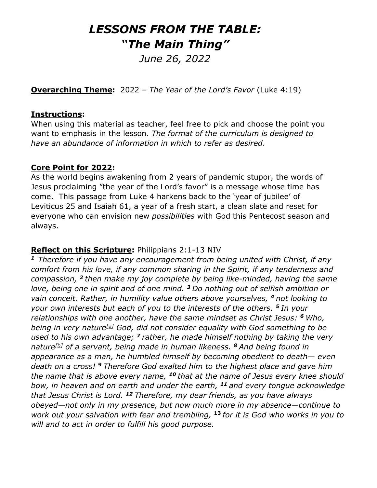# *LESSONS FROM THE TABLE: "The Main Thing"*

*June 26, 2022*

**Overarching Theme:** 2022 – *The Year of the Lord's Favor* (Luke 4:19)

#### **Instructions:**

When using this material as teacher, feel free to pick and choose the point you want to emphasis in the lesson. *The format of the curriculum is designed to have an abundance of information in which to refer as desired*.

#### **Core Point for 2022:**

As the world begins awakening from 2 years of pandemic stupor, the words of Jesus proclaiming "the year of the Lord's favor" is a message whose time has come. This passage from Luke 4 harkens back to the 'year of jubilee' of Leviticus 25 and Isaiah 61, a year of a fresh start, a clean slate and reset for everyone who can envision new *possibilities* with God this Pentecost season and always.

#### **Reflect on this Scripture:** Philippians 2:1-13 NIV

*<sup>1</sup>Therefore if you have any encouragement from being united with Christ, if any comfort from his love, if any common sharing in the Spirit, if any tenderness and compassion, <sup>2</sup> then make my joy complete by being like-minded, having the same love, being one in spirit and of one mind. <sup>3</sup> Do nothing out of selfish ambition or vain conceit. Rather, in humility value others above yourselves, <sup>4</sup> not looking to your own interests but each of you to the interests of the others. <sup>5</sup> In your relationships with one another, have the same mindset as Christ Jesus: <sup>6</sup> Who, being in very nature[\[a\]](https://www.biblegateway.com/passage/?search=Philippians%202%3A1-13&version=NIV#fen-NIV-29398a) God, did not consider equality with God something to be used to his own advantage; <sup>7</sup> rather, he made himself nothing by taking the very nature[\[b\]](https://www.biblegateway.com/passage/?search=Philippians%202%3A1-13&version=NIV#fen-NIV-29399b) of a servant, being made in human likeness. <sup>8</sup> And being found in appearance as a man, he humbled himself by becoming obedient to death— even death on a cross! <sup>9</sup> Therefore God exalted him to the highest place and gave him the name that is above every name, <sup>10</sup> that at the name of Jesus every knee should bow, in heaven and on earth and under the earth, <sup>11</sup> and every tongue acknowledge that Jesus Christ is Lord. <sup>12</sup> Therefore, my dear friends, as you have always obeyed—not only in my presence, but now much more in my absence—continue to work out your salvation with fear and trembling,* **<sup>13</sup>** *for it is God who works in you to will and to act in order to fulfill his good purpose.*